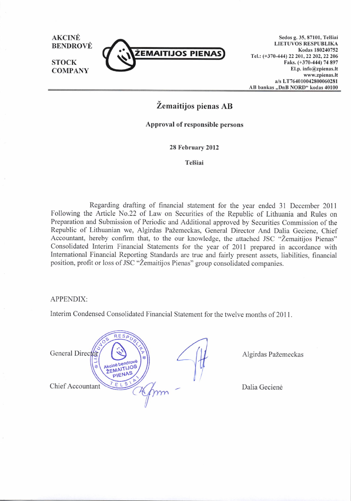

Sedos g. 35, 87101, Telšiai LIETUVOS RESPUBLIKA Kodas 180240752 Tel.: (+370-444) 22 201, 22 202, 22 206 Faks. (+370-444) 74 897 El.p. info@zpienas.lt www.zpienas.lt a/s LT?64010042800060281 AB bankas ..DnB NORD" kodas 40100

Zemaitijos pienas AB

Approval of responsible persons

28 February 2012

**Telšiai** 

Regarding drafting of financial statement for the year ended 3l December <sup>2011</sup> Following the Article No.22 of Law on Securities of the Republic of Lithuania and Rules on Preparation and Submission of Periodic and Additional approved by Securities Commission of the Republic of Lithuanian we, Algirdas PaZemeckas, General Director And Dalia Geciene, Chief Accountant, hereby confirm that, to the our knowledge, the attached JSC "Žemaitijos Pienas" Consolidated Interim Financial Statements for the year of 2011 prepared in accordance with International Financial Reporting Standards are true and fairly present assets, liabilities, financial position, profit or loss of JSC "Žemaitijos Pienas" group consolidated companies.

#### APPENDIX:

Interim Condensed Consolidated Financial Statement for the twelve months of 2011.



Dalia Geciene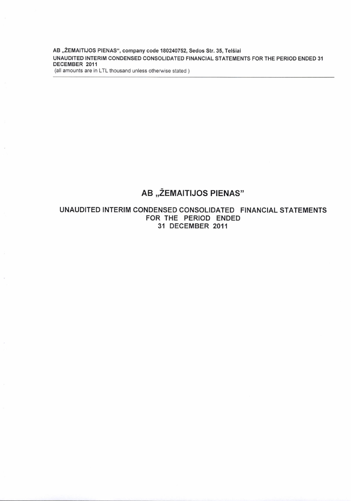AB "ŽEMAITIJOS PIENAS", company code 180240752, Sedos Str. 35, Telšiai UNAUDITED INTERIM CONDENSED CONSOLIDATED FINANCIAL STATEMENTS FOR THE PERIOD ENDED 31 DECEMBER 2011

(all amounts are in LTL thousand unless otherwise stated)

# AB "ŽEMAITIJOS PIENAS"

### UNAUDITED INTERIM CONDENSED CONSOLIDATED FINANCIAL STATEMENTS FOR THE PERIOD ENDED 31 DECEMBER 2011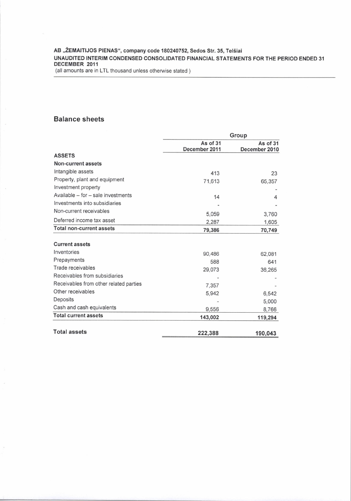AB "ŽEMAITIJOS PIENAS", company code 180240752, Sedos Str. 35, Telšiai UNAUDITED INTERIM CONDENSED CONSOLIDATED FINANCIAL STATEMENTS FOR THE PERIOD ENDED 31 DECEMBER 2OI1

(all amounts are in LTL thousand unless otherwise stated )

#### Balance sheets

|                                                                                       | Group                     |                           |                                 |        |        |
|---------------------------------------------------------------------------------------|---------------------------|---------------------------|---------------------------------|--------|--------|
|                                                                                       | As of 31<br>December 2011 | As of 31<br>December 2010 |                                 |        |        |
| <b>ASSETS</b>                                                                         |                           |                           |                                 |        |        |
| Non-current assets                                                                    |                           |                           |                                 |        |        |
| Intangible assets                                                                     | 413                       | 23                        |                                 |        |        |
| Property, plant and equipment                                                         | 71,613                    | 65,357                    |                                 |        |        |
| Investment property                                                                   |                           |                           |                                 |        |        |
| Available - for - sale investments                                                    | 14<br>5,059<br>2,287      | 4<br>3,760<br>1,605       |                                 |        |        |
| Investments into subsidiaries<br>Non-current receivables<br>Deferred income tax asset |                           |                           |                                 |        |        |
|                                                                                       |                           |                           | <b>Total non-current assets</b> | 79,386 | 70,749 |
|                                                                                       |                           |                           | <b>Current assets</b>           |        |        |
| Inventories                                                                           | 90,486                    | 62,081                    |                                 |        |        |
| Prepayments                                                                           | 588                       | 641                       |                                 |        |        |
| Trade receivables                                                                     | 29,073                    | 36,265                    |                                 |        |        |
| Receivables from subsidiaries                                                         |                           |                           |                                 |        |        |
| Receivables from other related parties                                                | 7,357                     |                           |                                 |        |        |
| Other receivables                                                                     | 5,942                     | 6,542                     |                                 |        |        |
| Deposits                                                                              |                           | 5,000                     |                                 |        |        |
| Cash and cash equivalents                                                             | 9,556                     | 8,766                     |                                 |        |        |
| <b>Total current assets</b>                                                           | 143,002                   | 119,294                   |                                 |        |        |
| <b>Total assets</b>                                                                   | 222,388                   | 190,043                   |                                 |        |        |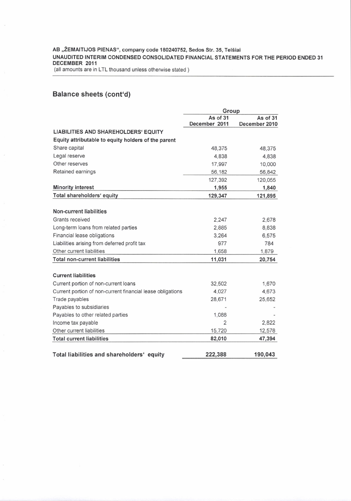#### AB "ŽEMAITIJOS PIENAS", company code 180240752, Sedos Str. 35, Telšiai UNAUDITED INTERIM CONDENSED CONSOLIDATED FINANCIAL STATEMENTS FOR THE PERIOD ENDED 31 DECEMBER 2011

(all amounts are in LTL thousand unless otherwise stated)

## **Balance sheets (cont'd)**

|                                                            | Group          |               |  |
|------------------------------------------------------------|----------------|---------------|--|
|                                                            | As of 31       | As of 31      |  |
|                                                            | December 2011  | December 2010 |  |
| <b>LIABILITIES AND SHAREHOLDERS' EQUITY</b>                |                |               |  |
| Equity attributable to equity holders of the parent        |                |               |  |
| Share capital                                              | 48,375         | 48,375        |  |
| Legal reserve                                              | 4.838          | 4,838         |  |
| Other reserves                                             | 17,997         | 10,000        |  |
| Retained earnings                                          | 56,182         | 56,842        |  |
|                                                            | 127,392        | 120,055       |  |
| <b>Minority interest</b>                                   | 1,955          | 1,840         |  |
| Total shareholders' equity                                 | 129,347        | 121,895       |  |
|                                                            |                |               |  |
| <b>Non-current liabilities</b>                             |                |               |  |
| Grants received                                            | 2,247          | 2,678         |  |
| Long-term loans from related parties                       | 2,885          | 8,838         |  |
| Financial lease obligations                                | 3,264          | 6,575         |  |
| Liabilities arising from deferred profit tax               | 977            | 784           |  |
| Other current liabilities                                  | 1,658          | 1,879         |  |
| <b>Total non-current liabilities</b>                       | 11,031         | 20,754        |  |
| <b>Current liabilities</b>                                 |                |               |  |
| Current portion of non-current loans                       | 32,502         | 1,670         |  |
| Current portion of non-current financial lease obligations | 4,027          | 4,673         |  |
| Trade payables                                             | 28,671         | 25,652        |  |
| Payables to subsidiaries                                   |                |               |  |
| Payables to other related parties                          | 1,088          |               |  |
| Income tax payable                                         | $\overline{2}$ | 2,822         |  |
| Other current liabilities                                  | 15,720         | 12,578        |  |
| <b>Total current liabilities</b>                           | 82,010         | 47,394        |  |
| Total liabilities and shareholders' equity                 | 222,388        | 190,043       |  |
|                                                            |                |               |  |